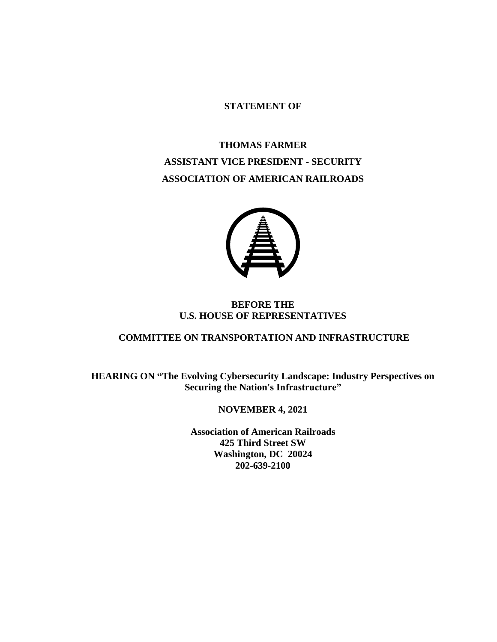## **STATEMENT OF**

## **THOMAS FARMER ASSISTANT VICE PRESIDENT - SECURITY ASSOCIATION OF AMERICAN RAILROADS**



## **BEFORE THE U.S. HOUSE OF REPRESENTATIVES**

## **COMMITTEE ON TRANSPORTATION AND INFRASTRUCTURE**

**HEARING ON "The Evolving Cybersecurity Landscape: Industry Perspectives on Securing the Nation's Infrastructure"**

## **NOVEMBER 4, 2021**

**Association of American Railroads 425 Third Street SW Washington, DC 20024 202-639-2100**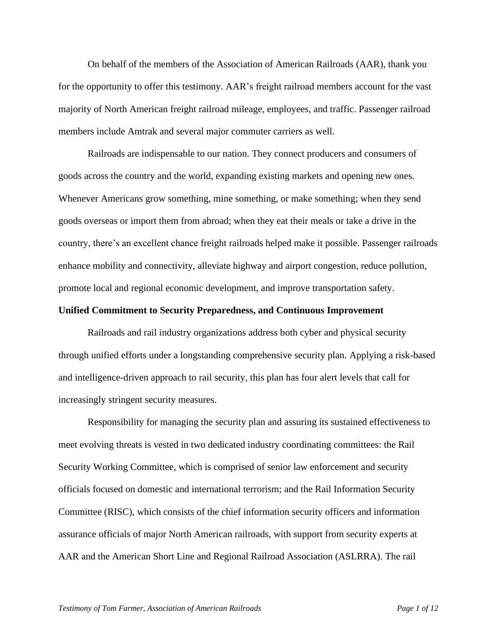On behalf of the members of the Association of American Railroads (AAR), thank you for the opportunity to offer this testimony. AAR's freight railroad members account for the vast majority of North American freight railroad mileage, employees, and traffic. Passenger railroad members include Amtrak and several major commuter carriers as well.

Railroads are indispensable to our nation. They connect producers and consumers of goods across the country and the world, expanding existing markets and opening new ones. Whenever Americans grow something, mine something, or make something; when they send goods overseas or import them from abroad; when they eat their meals or take a drive in the country, there's an excellent chance freight railroads helped make it possible. Passenger railroads enhance mobility and connectivity, alleviate highway and airport congestion, reduce pollution, promote local and regional economic development, and improve transportation safety.

#### **Unified Commitment to Security Preparedness, and Continuous Improvement**

Railroads and rail industry organizations address both cyber and physical security through unified efforts under a longstanding comprehensive security plan. Applying a risk-based and intelligence-driven approach to rail security, this plan has four alert levels that call for increasingly stringent security measures.

Responsibility for managing the security plan and assuring its sustained effectiveness to meet evolving threats is vested in two dedicated industry coordinating committees: the Rail Security Working Committee, which is comprised of senior law enforcement and security officials focused on domestic and international terrorism; and the Rail Information Security Committee (RISC), which consists of the chief information security officers and information assurance officials of major North American railroads, with support from security experts at AAR and the American Short Line and Regional Railroad Association (ASLRRA). The rail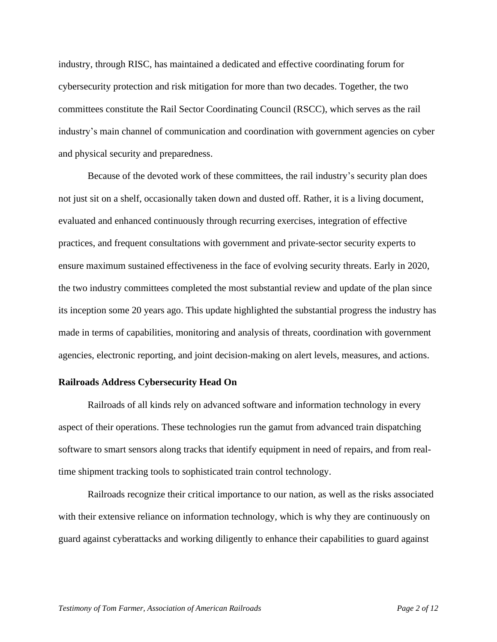industry, through RISC, has maintained a dedicated and effective coordinating forum for cybersecurity protection and risk mitigation for more than two decades. Together, the two committees constitute the Rail Sector Coordinating Council (RSCC), which serves as the rail industry's main channel of communication and coordination with government agencies on cyber and physical security and preparedness.

Because of the devoted work of these committees, the rail industry's security plan does not just sit on a shelf, occasionally taken down and dusted off. Rather, it is a living document, evaluated and enhanced continuously through recurring exercises, integration of effective practices, and frequent consultations with government and private-sector security experts to ensure maximum sustained effectiveness in the face of evolving security threats. Early in 2020, the two industry committees completed the most substantial review and update of the plan since its inception some 20 years ago. This update highlighted the substantial progress the industry has made in terms of capabilities, monitoring and analysis of threats, coordination with government agencies, electronic reporting, and joint decision-making on alert levels, measures, and actions.

#### **Railroads Address Cybersecurity Head On**

Railroads of all kinds rely on advanced software and information technology in every aspect of their operations. These technologies run the gamut from advanced train dispatching software to smart sensors along tracks that identify equipment in need of repairs, and from realtime shipment tracking tools to sophisticated train control technology.

Railroads recognize their critical importance to our nation, as well as the risks associated with their extensive reliance on information technology, which is why they are continuously on guard against cyberattacks and working diligently to enhance their capabilities to guard against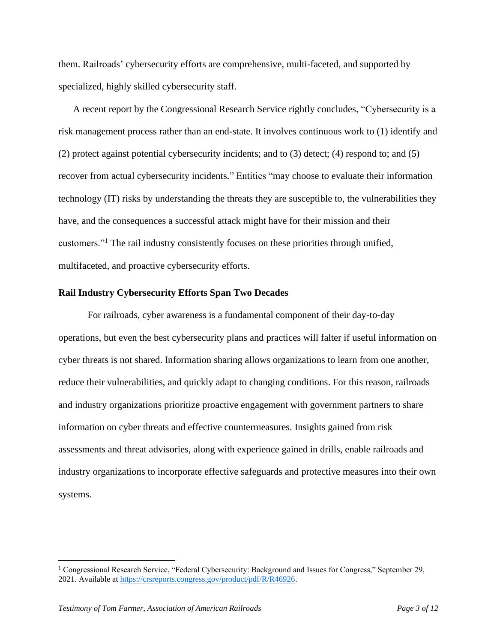them. Railroads' cybersecurity efforts are comprehensive, multi-faceted, and supported by specialized, highly skilled cybersecurity staff.

A recent report by the Congressional Research Service rightly concludes, "Cybersecurity is a risk management process rather than an end-state. It involves continuous work to (1) identify and (2) protect against potential cybersecurity incidents; and to (3) detect; (4) respond to; and (5) recover from actual cybersecurity incidents." Entities "may choose to evaluate their information technology (IT) risks by understanding the threats they are susceptible to, the vulnerabilities they have, and the consequences a successful attack might have for their mission and their customers."<sup>1</sup> The rail industry consistently focuses on these priorities through unified, multifaceted, and proactive cybersecurity efforts.

### **Rail Industry Cybersecurity Efforts Span Two Decades**

For railroads, cyber awareness is a fundamental component of their day-to-day operations, but even the best cybersecurity plans and practices will falter if useful information on cyber threats is not shared. Information sharing allows organizations to learn from one another, reduce their vulnerabilities, and quickly adapt to changing conditions. For this reason, railroads and industry organizations prioritize proactive engagement with government partners to share information on cyber threats and effective countermeasures. Insights gained from risk assessments and threat advisories, along with experience gained in drills, enable railroads and industry organizations to incorporate effective safeguards and protective measures into their own systems.

<sup>&</sup>lt;sup>1</sup> Congressional Research Service, "Federal Cybersecurity: Background and Issues for Congress," September 29, 2021. Available at [https://crsreports.congress.gov/product/pdf/R/R46926.](https://crsreports.congress.gov/product/pdf/R/R46926)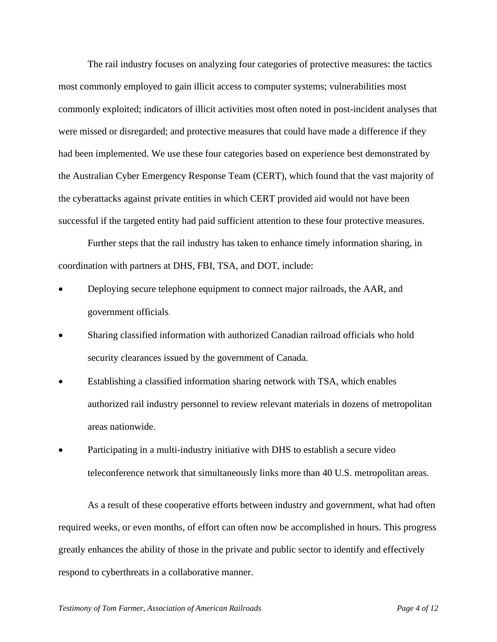The rail industry focuses on analyzing four categories of protective measures: the tactics most commonly employed to gain illicit access to computer systems; vulnerabilities most commonly exploited; indicators of illicit activities most often noted in post-incident analyses that were missed or disregarded; and protective measures that could have made a difference if they had been implemented. We use these four categories based on experience best demonstrated by the Australian Cyber Emergency Response Team (CERT), which found that the vast majority of the cyberattacks against private entities in which CERT provided aid would not have been successful if the targeted entity had paid sufficient attention to these four protective measures.

Further steps that the rail industry has taken to enhance timely information sharing, in coordination with partners at DHS, FBI, TSA, and DOT, include:

- Deploying secure telephone equipment to connect major railroads, the AAR, and government officials.
- Sharing classified information with authorized Canadian railroad officials who hold security clearances issued by the government of Canada*.*
- Establishing a classified information sharing network with TSA, which enables authorized rail industry personnel to review relevant materials in dozens of metropolitan areas nationwide.
- Participating in a multi-industry initiative with DHS to establish a secure video teleconference network that simultaneously links more than 40 U.S. metropolitan areas.

As a result of these cooperative efforts between industry and government, what had often required weeks, or even months, of effort can often now be accomplished in hours. This progress greatly enhances the ability of those in the private and public sector to identify and effectively respond to cyberthreats in a collaborative manner.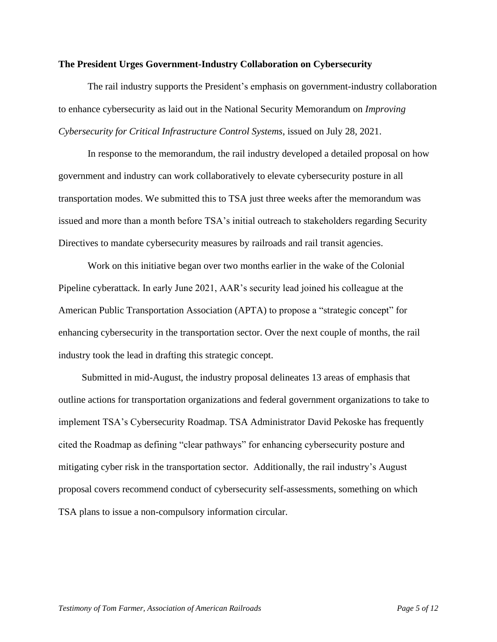#### **The President Urges Government-Industry Collaboration on Cybersecurity**

The rail industry supports the President's emphasis on government-industry collaboration to enhance cybersecurity as laid out in the National Security Memorandum on *Improving Cybersecurity for Critical Infrastructure Control Systems*, issued on July 28, 2021.

In response to the memorandum, the rail industry developed a detailed proposal on how government and industry can work collaboratively to elevate cybersecurity posture in all transportation modes. We submitted this to TSA just three weeks after the memorandum was issued and more than a month before TSA's initial outreach to stakeholders regarding Security Directives to mandate cybersecurity measures by railroads and rail transit agencies.

Work on this initiative began over two months earlier in the wake of the Colonial Pipeline cyberattack. In early June 2021, AAR's security lead joined his colleague at the American Public Transportation Association (APTA) to propose a "strategic concept" for enhancing cybersecurity in the transportation sector. Over the next couple of months, the rail industry took the lead in drafting this strategic concept.

Submitted in mid-August, the industry proposal delineates 13 areas of emphasis that outline actions for transportation organizations and federal government organizations to take to implement TSA's Cybersecurity Roadmap. TSA Administrator David Pekoske has frequently cited the Roadmap as defining "clear pathways" for enhancing cybersecurity posture and mitigating cyber risk in the transportation sector. Additionally, the rail industry's August proposal covers recommend conduct of cybersecurity self-assessments, something on which TSA plans to issue a non-compulsory information circular.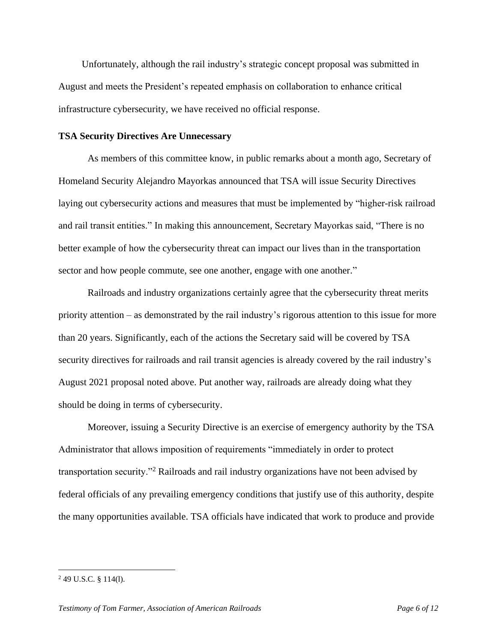Unfortunately, although the rail industry's strategic concept proposal was submitted in August and meets the President's repeated emphasis on collaboration to enhance critical infrastructure cybersecurity, we have received no official response.

### **TSA Security Directives Are Unnecessary**

As members of this committee know, in public remarks about a month ago, Secretary of Homeland Security Alejandro Mayorkas announced that TSA will issue Security Directives laying out cybersecurity actions and measures that must be implemented by "higher-risk railroad and rail transit entities." In making this announcement, Secretary Mayorkas said, "There is no better example of how the cybersecurity threat can impact our lives than in the transportation sector and how people commute, see one another, engage with one another."

Railroads and industry organizations certainly agree that the cybersecurity threat merits priority attention – as demonstrated by the rail industry's rigorous attention to this issue for more than 20 years. Significantly, each of the actions the Secretary said will be covered by TSA security directives for railroads and rail transit agencies is already covered by the rail industry's August 2021 proposal noted above. Put another way, railroads are already doing what they should be doing in terms of cybersecurity.

Moreover, issuing a Security Directive is an exercise of emergency authority by the TSA Administrator that allows imposition of requirements "immediately in order to protect transportation security."<sup>2</sup> Railroads and rail industry organizations have not been advised by federal officials of any prevailing emergency conditions that justify use of this authority, despite the many opportunities available. TSA officials have indicated that work to produce and provide

<sup>2</sup> 49 U.S.C. § 114(l).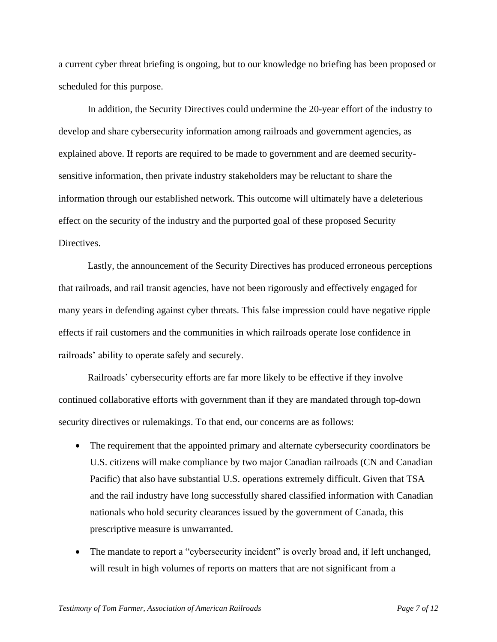a current cyber threat briefing is ongoing, but to our knowledge no briefing has been proposed or scheduled for this purpose.

In addition, the Security Directives could undermine the 20-year effort of the industry to develop and share cybersecurity information among railroads and government agencies, as explained above. If reports are required to be made to government and are deemed securitysensitive information, then private industry stakeholders may be reluctant to share the information through our established network. This outcome will ultimately have a deleterious effect on the security of the industry and the purported goal of these proposed Security Directives.

Lastly, the announcement of the Security Directives has produced erroneous perceptions that railroads, and rail transit agencies, have not been rigorously and effectively engaged for many years in defending against cyber threats. This false impression could have negative ripple effects if rail customers and the communities in which railroads operate lose confidence in railroads' ability to operate safely and securely.

Railroads' cybersecurity efforts are far more likely to be effective if they involve continued collaborative efforts with government than if they are mandated through top-down security directives or rulemakings. To that end, our concerns are as follows:

- The requirement that the appointed primary and alternate cybersecurity coordinators be U.S. citizens will make compliance by two major Canadian railroads (CN and Canadian Pacific) that also have substantial U.S. operations extremely difficult. Given that TSA and the rail industry have long successfully shared classified information with Canadian nationals who hold security clearances issued by the government of Canada, this prescriptive measure is unwarranted.
- The mandate to report a "cybersecurity incident" is overly broad and, if left unchanged, will result in high volumes of reports on matters that are not significant from a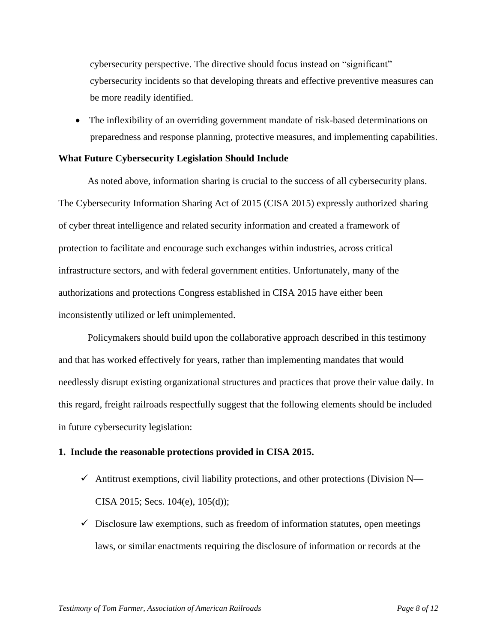cybersecurity perspective. The directive should focus instead on "significant" cybersecurity incidents so that developing threats and effective preventive measures can be more readily identified.

• The inflexibility of an overriding government mandate of risk-based determinations on preparedness and response planning, protective measures, and implementing capabilities.

### **What Future Cybersecurity Legislation Should Include**

As noted above, information sharing is crucial to the success of all cybersecurity plans. The Cybersecurity Information Sharing Act of 2015 (CISA 2015) expressly authorized sharing of cyber threat intelligence and related security information and created a framework of protection to facilitate and encourage such exchanges within industries, across critical infrastructure sectors, and with federal government entities. Unfortunately, many of the authorizations and protections Congress established in CISA 2015 have either been inconsistently utilized or left unimplemented.

Policymakers should build upon the collaborative approach described in this testimony and that has worked effectively for years, rather than implementing mandates that would needlessly disrupt existing organizational structures and practices that prove their value daily. In this regard, freight railroads respectfully suggest that the following elements should be included in future cybersecurity legislation:

### **1. Include the reasonable protections provided in CISA 2015.**

- $\checkmark$  Antitrust exemptions, civil liability protections, and other protections (Division N— CISA 2015; Secs. 104(e), 105(d));
- $\checkmark$  Disclosure law exemptions, such as freedom of information statutes, open meetings laws, or similar enactments requiring the disclosure of information or records at the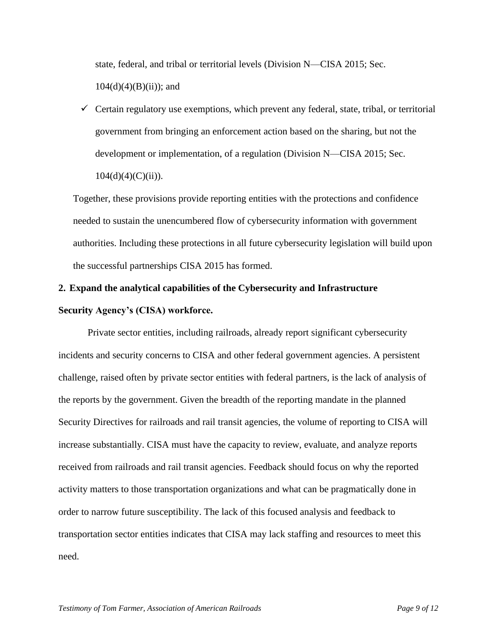state, federal, and tribal or territorial levels (Division N—CISA 2015; Sec.  $104(d)(4)(B)(ii)$ ; and

 $\checkmark$  Certain regulatory use exemptions, which prevent any federal, state, tribal, or territorial government from bringing an enforcement action based on the sharing, but not the development or implementation, of a regulation (Division N—CISA 2015; Sec.  $104(d)(4)(C(ii)).$ 

Together, these provisions provide reporting entities with the protections and confidence needed to sustain the unencumbered flow of cybersecurity information with government authorities. Including these protections in all future cybersecurity legislation will build upon the successful partnerships CISA 2015 has formed.

# **2. Expand the analytical capabilities of the Cybersecurity and Infrastructure Security Agency's (CISA) workforce.**

Private sector entities, including railroads, already report significant cybersecurity incidents and security concerns to CISA and other federal government agencies. A persistent challenge, raised often by private sector entities with federal partners, is the lack of analysis of the reports by the government. Given the breadth of the reporting mandate in the planned Security Directives for railroads and rail transit agencies, the volume of reporting to CISA will increase substantially. CISA must have the capacity to review, evaluate, and analyze reports received from railroads and rail transit agencies. Feedback should focus on why the reported activity matters to those transportation organizations and what can be pragmatically done in order to narrow future susceptibility. The lack of this focused analysis and feedback to transportation sector entities indicates that CISA may lack staffing and resources to meet this need.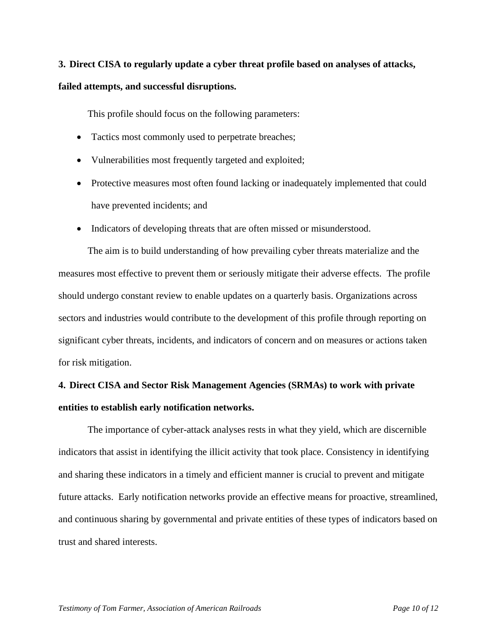# **3. Direct CISA to regularly update a cyber threat profile based on analyses of attacks, failed attempts, and successful disruptions.**

This profile should focus on the following parameters:

- Tactics most commonly used to perpetrate breaches;
- Vulnerabilities most frequently targeted and exploited;
- Protective measures most often found lacking or inadequately implemented that could have prevented incidents; and
- Indicators of developing threats that are often missed or misunderstood.

The aim is to build understanding of how prevailing cyber threats materialize and the measures most effective to prevent them or seriously mitigate their adverse effects. The profile should undergo constant review to enable updates on a quarterly basis. Organizations across sectors and industries would contribute to the development of this profile through reporting on significant cyber threats, incidents, and indicators of concern and on measures or actions taken for risk mitigation.

# **4. Direct CISA and Sector Risk Management Agencies (SRMAs) to work with private entities to establish early notification networks.**

The importance of cyber-attack analyses rests in what they yield, which are discernible indicators that assist in identifying the illicit activity that took place. Consistency in identifying and sharing these indicators in a timely and efficient manner is crucial to prevent and mitigate future attacks. Early notification networks provide an effective means for proactive, streamlined, and continuous sharing by governmental and private entities of these types of indicators based on trust and shared interests.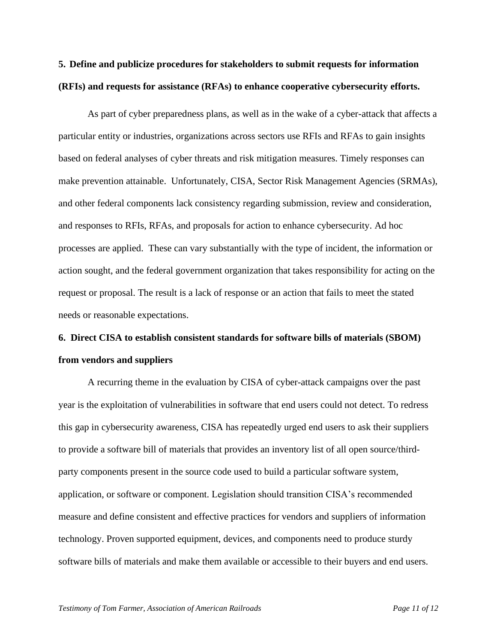# **5. Define and publicize procedures for stakeholders to submit requests for information (RFIs) and requests for assistance (RFAs) to enhance cooperative cybersecurity efforts.**

As part of cyber preparedness plans, as well as in the wake of a cyber-attack that affects a particular entity or industries, organizations across sectors use RFIs and RFAs to gain insights based on federal analyses of cyber threats and risk mitigation measures. Timely responses can make prevention attainable. Unfortunately, CISA, Sector Risk Management Agencies (SRMAs), and other federal components lack consistency regarding submission, review and consideration, and responses to RFIs, RFAs, and proposals for action to enhance cybersecurity. Ad hoc processes are applied. These can vary substantially with the type of incident, the information or action sought, and the federal government organization that takes responsibility for acting on the request or proposal. The result is a lack of response or an action that fails to meet the stated needs or reasonable expectations.

## **6. Direct CISA to establish consistent standards for software bills of materials (SBOM) from vendors and suppliers**

A recurring theme in the evaluation by CISA of cyber-attack campaigns over the past year is the exploitation of vulnerabilities in software that end users could not detect. To redress this gap in cybersecurity awareness, CISA has repeatedly urged end users to ask their suppliers to provide a software bill of materials that provides an inventory list of all open source/thirdparty components present in the source code used to build a particular software system, application, or software or component. Legislation should transition CISA's recommended measure and define consistent and effective practices for vendors and suppliers of information technology. Proven supported equipment, devices, and components need to produce sturdy software bills of materials and make them available or accessible to their buyers and end users.